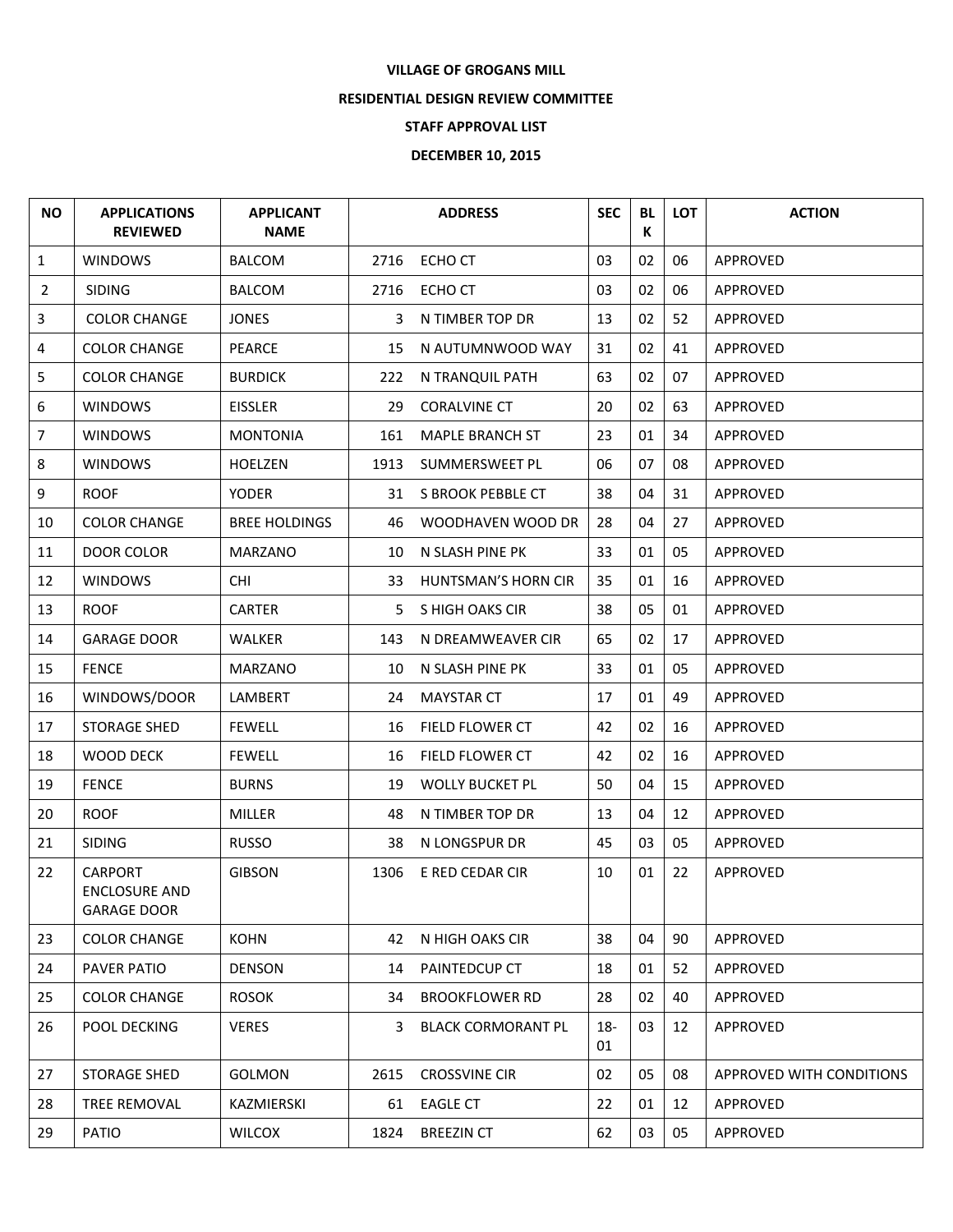## **VILLAGE OF GROGANS MILL**

## **RESIDENTIAL DESIGN REVIEW COMMITTEE**

## **STAFF APPROVAL LIST**

## **DECEMBER 10, 2015**

| <b>NO</b>      | <b>APPLICATIONS</b><br><b>REVIEWED</b>                | <b>APPLICANT</b><br><b>NAME</b> |      | <b>ADDRESS</b>            | <b>SEC</b>  | <b>BL</b><br>К | LOT | <b>ACTION</b>            |
|----------------|-------------------------------------------------------|---------------------------------|------|---------------------------|-------------|----------------|-----|--------------------------|
| $\mathbf{1}$   | <b>WINDOWS</b>                                        | <b>BALCOM</b>                   | 2716 | ECHO CT                   | 03          | 02             | 06  | APPROVED                 |
| $\overline{2}$ | <b>SIDING</b>                                         | <b>BALCOM</b>                   | 2716 | ECHO CT                   | 03          | 02             | 06  | APPROVED                 |
| 3              | <b>COLOR CHANGE</b>                                   | <b>JONES</b>                    | 3    | N TIMBER TOP DR           | 13          | 02             | 52  | APPROVED                 |
| 4              | <b>COLOR CHANGE</b>                                   | <b>PEARCE</b>                   | 15   | N AUTUMNWOOD WAY          | 31          | 02             | 41  | APPROVED                 |
| 5              | <b>COLOR CHANGE</b>                                   | <b>BURDICK</b>                  | 222  | N TRANQUIL PATH           | 63          | 02             | 07  | APPROVED                 |
| 6              | <b>WINDOWS</b>                                        | <b>EISSLER</b>                  | 29   | <b>CORALVINE CT</b>       | 20          | 02             | 63  | APPROVED                 |
| $\overline{7}$ | <b>WINDOWS</b>                                        | <b>MONTONIA</b>                 | 161  | <b>MAPLE BRANCH ST</b>    | 23          | 01             | 34  | APPROVED                 |
| 8              | <b>WINDOWS</b>                                        | <b>HOELZEN</b>                  | 1913 | SUMMERSWEET PL            | 06          | 07             | 08  | APPROVED                 |
| 9              | <b>ROOF</b>                                           | YODER                           |      | 31 S BROOK PEBBLE CT      | 38          | 04             | 31  | APPROVED                 |
| 10             | <b>COLOR CHANGE</b>                                   | <b>BREE HOLDINGS</b>            | 46   | WOODHAVEN WOOD DR         | 28          | 04             | 27  | APPROVED                 |
| 11             | DOOR COLOR                                            | <b>MARZANO</b>                  | 10   | N SLASH PINE PK           | 33          | 01             | 05  | APPROVED                 |
| 12             | <b>WINDOWS</b>                                        | <b>CHI</b>                      | 33   | HUNTSMAN'S HORN CIR       | 35          | 01             | 16  | <b>APPROVED</b>          |
| 13             | <b>ROOF</b>                                           | <b>CARTER</b>                   | 5.   | S HIGH OAKS CIR           | 38          | 05             | 01  | APPROVED                 |
| 14             | <b>GARAGE DOOR</b>                                    | <b>WALKER</b>                   | 143  | N DREAMWEAVER CIR         | 65          | 02             | 17  | <b>APPROVED</b>          |
| 15             | <b>FENCE</b>                                          | <b>MARZANO</b>                  | 10   | N SLASH PINE PK           | 33          | 01             | 05  | APPROVED                 |
| 16             | WINDOWS/DOOR                                          | LAMBERT                         | 24   | <b>MAYSTAR CT</b>         | 17          | 01             | 49  | APPROVED                 |
| 17             | <b>STORAGE SHED</b>                                   | <b>FEWELL</b>                   | 16   | <b>FIELD FLOWER CT</b>    | 42          | 02             | 16  | APPROVED                 |
| 18             | WOOD DECK                                             | <b>FEWELL</b>                   | 16   | <b>FIELD FLOWER CT</b>    | 42          | 02             | 16  | APPROVED                 |
| 19             | <b>FENCE</b>                                          | <b>BURNS</b>                    | 19   | <b>WOLLY BUCKET PL</b>    | 50          | 04             | 15  | APPROVED                 |
| 20             | <b>ROOF</b>                                           | <b>MILLER</b>                   | 48   | N TIMBER TOP DR           | 13          | 04             | 12  | APPROVED                 |
| 21             | <b>SIDING</b>                                         | <b>RUSSO</b>                    | 38   | N LONGSPUR DR             | 45          | 03             | 05  | APPROVED                 |
| 22             | <b>CARPORT</b><br>ENCLOSURE AND<br><b>GARAGE DOOR</b> | <b>GIBSON</b>                   | 1306 | E RED CEDAR CIR           | 10          | 01             | 22  | APPROVED                 |
| 23             | <b>COLOR CHANGE</b>                                   | <b>KOHN</b>                     | 42   | N HIGH OAKS CIR           | 38          | 04             | 90  | APPROVED                 |
| 24             | PAVER PATIO                                           | <b>DENSON</b>                   | 14   | PAINTEDCUP CT             | 18          | 01             | 52  | <b>APPROVED</b>          |
| 25             | <b>COLOR CHANGE</b>                                   | <b>ROSOK</b>                    | 34   | <b>BROOKFLOWER RD</b>     | 28          | 02             | 40  | APPROVED                 |
| 26             | POOL DECKING                                          | <b>VERES</b>                    | 3.   | <b>BLACK CORMORANT PL</b> | $18-$<br>01 | 03             | 12  | APPROVED                 |
| 27             | STORAGE SHED                                          | <b>GOLMON</b>                   | 2615 | <b>CROSSVINE CIR</b>      | 02          | 05             | 08  | APPROVED WITH CONDITIONS |
| 28             | TREE REMOVAL                                          | KAZMIERSKI                      | 61   | <b>EAGLE CT</b>           | 22          | 01             | 12  | APPROVED                 |
| 29             | <b>PATIO</b>                                          | <b>WILCOX</b>                   | 1824 | <b>BREEZIN CT</b>         | 62          | 03             | 05  | APPROVED                 |